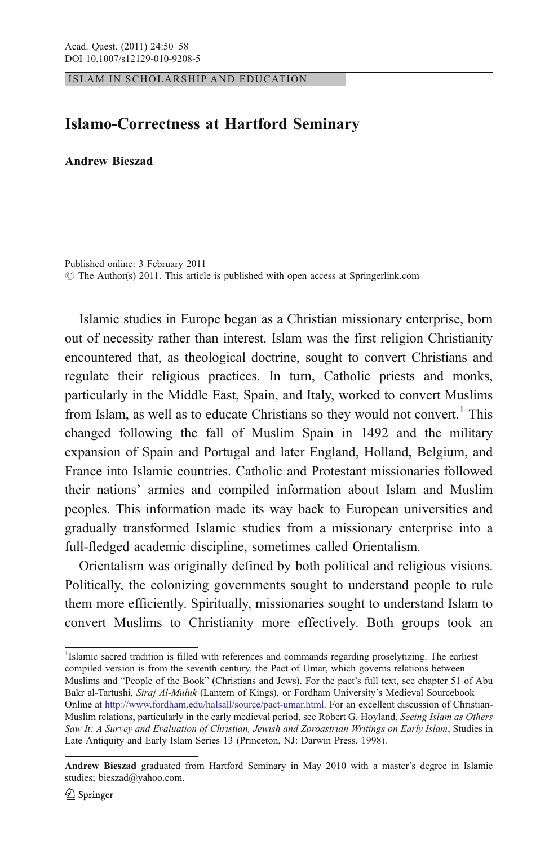ISLAM IN SCHOLARSHIP AND EDUCATION

## Islamo-Correctness at Hartford Seminary

Andrew Bieszad

Published online: 3 February 2011  $\circ$  The Author(s) 2011. This article is published with open access at Springerlink.com

Islamic studies in Europe began as a Christian missionary enterprise, born out of necessity rather than interest. Islam was the first religion Christianity encountered that, as theological doctrine, sought to convert Christians and regulate their religious practices. In turn, Catholic priests and monks, particularly in the Middle East, Spain, and Italy, worked to convert Muslims from Islam, as well as to educate Christians so they would not convert.<sup>1</sup> This changed following the fall of Muslim Spain in 1492 and the military expansion of Spain and Portugal and later England, Holland, Belgium, and France into Islamic countries. Catholic and Protestant missionaries followed their nations' armies and compiled information about Islam and Muslim peoples. This information made its way back to European universities and gradually transformed Islamic studies from a missionary enterprise into a full-fledged academic discipline, sometimes called Orientalism.

Orientalism was originally defined by both political and religious visions. Politically, the colonizing governments sought to understand people to rule them more efficiently. Spiritually, missionaries sought to understand Islam to convert Muslims to Christianity more effectively. Both groups took an

<sup>1</sup>Islamic sacred tradition is filled with references and commands regarding proselytizing. The earliest compiled version is from the seventh century, the Pact of Umar, which governs relations between Muslims and "People of the Book" (Christians and Jews). For the pact's full text, see chapter 51 of Abu Bakr al-Tartushi, Siraj Al-Muluk (Lantern of Kings), or Fordham University's Medieval Sourcebook Online at <http://www.fordham.edu/halsall/source/pact-umar.html>. For an excellent discussion of Christian-Muslim relations, particularly in the early medieval period, see Robert G. Hoyland, Seeing Islam as Others Saw It: A Survey and Evaluation of Christian, Jewish and Zoroastrian Writings on Early Islam, Studies in Late Antiquity and Early Islam Series 13 (Princeton, NJ: Darwin Press, 1998).

Andrew Bieszad graduated from Hartford Seminary in May 2010 with a master's degree in Islamic studies; bieszad@yahoo.com.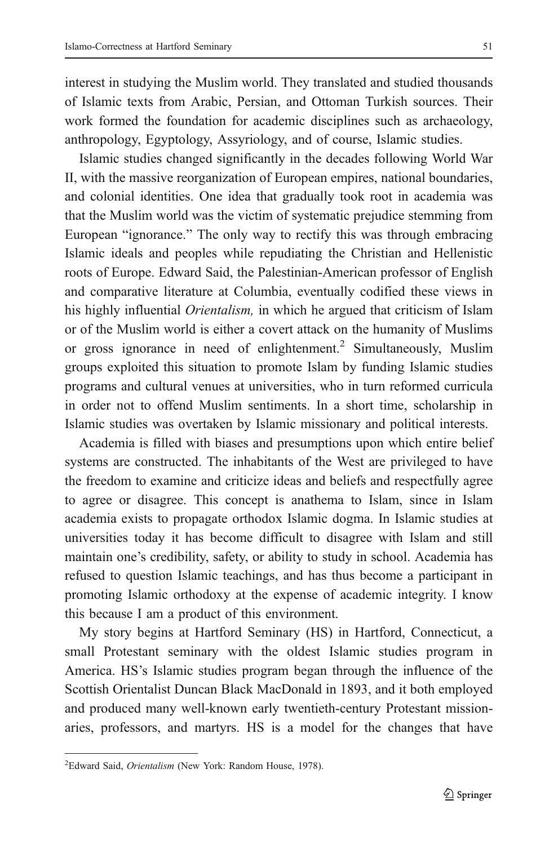interest in studying the Muslim world. They translated and studied thousands of Islamic texts from Arabic, Persian, and Ottoman Turkish sources. Their work formed the foundation for academic disciplines such as archaeology, anthropology, Egyptology, Assyriology, and of course, Islamic studies.

Islamic studies changed significantly in the decades following World War II, with the massive reorganization of European empires, national boundaries, and colonial identities. One idea that gradually took root in academia was that the Muslim world was the victim of systematic prejudice stemming from European "ignorance." The only way to rectify this was through embracing Islamic ideals and peoples while repudiating the Christian and Hellenistic roots of Europe. Edward Said, the Palestinian-American professor of English and comparative literature at Columbia, eventually codified these views in his highly influential Orientalism, in which he argued that criticism of Islam or of the Muslim world is either a covert attack on the humanity of Muslims or gross ignorance in need of enlightenment.<sup>2</sup> Simultaneously, Muslim groups exploited this situation to promote Islam by funding Islamic studies programs and cultural venues at universities, who in turn reformed curricula in order not to offend Muslim sentiments. In a short time, scholarship in Islamic studies was overtaken by Islamic missionary and political interests.

Academia is filled with biases and presumptions upon which entire belief systems are constructed. The inhabitants of the West are privileged to have the freedom to examine and criticize ideas and beliefs and respectfully agree to agree or disagree. This concept is anathema to Islam, since in Islam academia exists to propagate orthodox Islamic dogma. In Islamic studies at universities today it has become difficult to disagree with Islam and still maintain one's credibility, safety, or ability to study in school. Academia has refused to question Islamic teachings, and has thus become a participant in promoting Islamic orthodoxy at the expense of academic integrity. I know this because I am a product of this environment.

My story begins at Hartford Seminary (HS) in Hartford, Connecticut, a small Protestant seminary with the oldest Islamic studies program in America. HS's Islamic studies program began through the influence of the Scottish Orientalist Duncan Black MacDonald in 1893, and it both employed and produced many well-known early twentieth-century Protestant missionaries, professors, and martyrs. HS is a model for the changes that have

<sup>&</sup>lt;sup>2</sup>Edward Said, Orientalism (New York: Random House, 1978).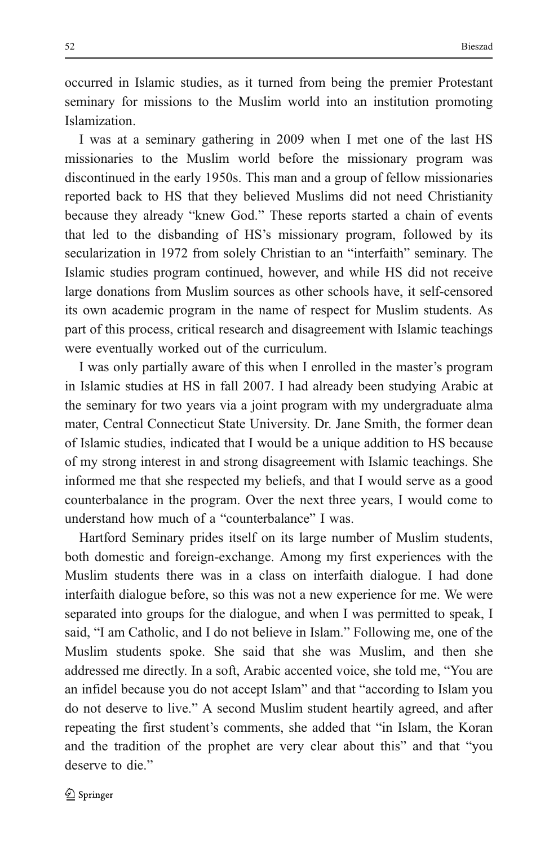occurred in Islamic studies, as it turned from being the premier Protestant seminary for missions to the Muslim world into an institution promoting Islamization.

I was at a seminary gathering in 2009 when I met one of the last HS missionaries to the Muslim world before the missionary program was discontinued in the early 1950s. This man and a group of fellow missionaries reported back to HS that they believed Muslims did not need Christianity because they already "knew God." These reports started a chain of events that led to the disbanding of HS's missionary program, followed by its secularization in 1972 from solely Christian to an "interfaith" seminary. The Islamic studies program continued, however, and while HS did not receive large donations from Muslim sources as other schools have, it self-censored its own academic program in the name of respect for Muslim students. As part of this process, critical research and disagreement with Islamic teachings were eventually worked out of the curriculum.

I was only partially aware of this when I enrolled in the master's program in Islamic studies at HS in fall 2007. I had already been studying Arabic at the seminary for two years via a joint program with my undergraduate alma mater, Central Connecticut State University. Dr. Jane Smith, the former dean of Islamic studies, indicated that I would be a unique addition to HS because of my strong interest in and strong disagreement with Islamic teachings. She informed me that she respected my beliefs, and that I would serve as a good counterbalance in the program. Over the next three years, I would come to understand how much of a "counterbalance" I was.

Hartford Seminary prides itself on its large number of Muslim students, both domestic and foreign-exchange. Among my first experiences with the Muslim students there was in a class on interfaith dialogue. I had done interfaith dialogue before, so this was not a new experience for me. We were separated into groups for the dialogue, and when I was permitted to speak, I said, "I am Catholic, and I do not believe in Islam." Following me, one of the Muslim students spoke. She said that she was Muslim, and then she addressed me directly. In a soft, Arabic accented voice, she told me, "You are an infidel because you do not accept Islam" and that "according to Islam you do not deserve to live." A second Muslim student heartily agreed, and after repeating the first student's comments, she added that "in Islam, the Koran and the tradition of the prophet are very clear about this" and that "you deserve to die."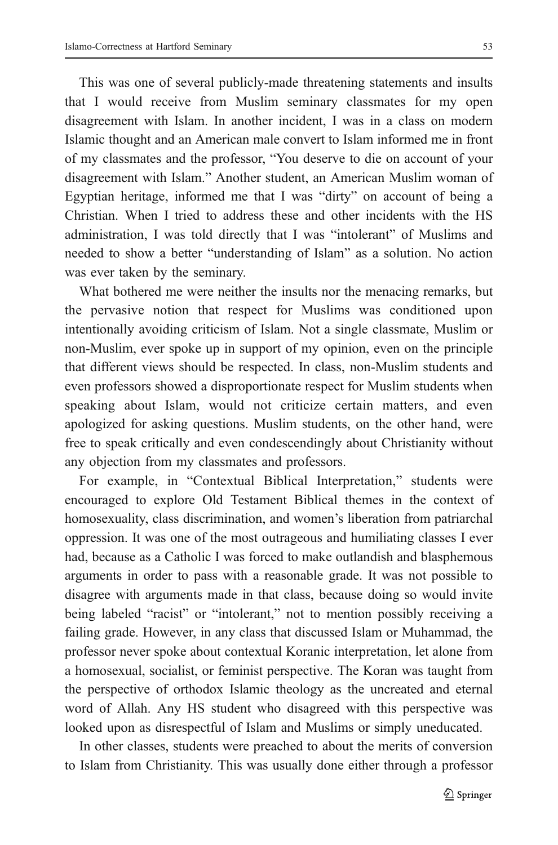This was one of several publicly-made threatening statements and insults that I would receive from Muslim seminary classmates for my open disagreement with Islam. In another incident, I was in a class on modern Islamic thought and an American male convert to Islam informed me in front of my classmates and the professor, "You deserve to die on account of your disagreement with Islam." Another student, an American Muslim woman of Egyptian heritage, informed me that I was "dirty" on account of being a Christian. When I tried to address these and other incidents with the HS administration, I was told directly that I was "intolerant" of Muslims and needed to show a better "understanding of Islam" as a solution. No action was ever taken by the seminary.

What bothered me were neither the insults nor the menacing remarks, but the pervasive notion that respect for Muslims was conditioned upon intentionally avoiding criticism of Islam. Not a single classmate, Muslim or non-Muslim, ever spoke up in support of my opinion, even on the principle that different views should be respected. In class, non-Muslim students and even professors showed a disproportionate respect for Muslim students when speaking about Islam, would not criticize certain matters, and even apologized for asking questions. Muslim students, on the other hand, were free to speak critically and even condescendingly about Christianity without any objection from my classmates and professors.

For example, in "Contextual Biblical Interpretation," students were encouraged to explore Old Testament Biblical themes in the context of homosexuality, class discrimination, and women's liberation from patriarchal oppression. It was one of the most outrageous and humiliating classes I ever had, because as a Catholic I was forced to make outlandish and blasphemous arguments in order to pass with a reasonable grade. It was not possible to disagree with arguments made in that class, because doing so would invite being labeled "racist" or "intolerant," not to mention possibly receiving a failing grade. However, in any class that discussed Islam or Muhammad, the professor never spoke about contextual Koranic interpretation, let alone from a homosexual, socialist, or feminist perspective. The Koran was taught from the perspective of orthodox Islamic theology as the uncreated and eternal word of Allah. Any HS student who disagreed with this perspective was looked upon as disrespectful of Islam and Muslims or simply uneducated.

In other classes, students were preached to about the merits of conversion to Islam from Christianity. This was usually done either through a professor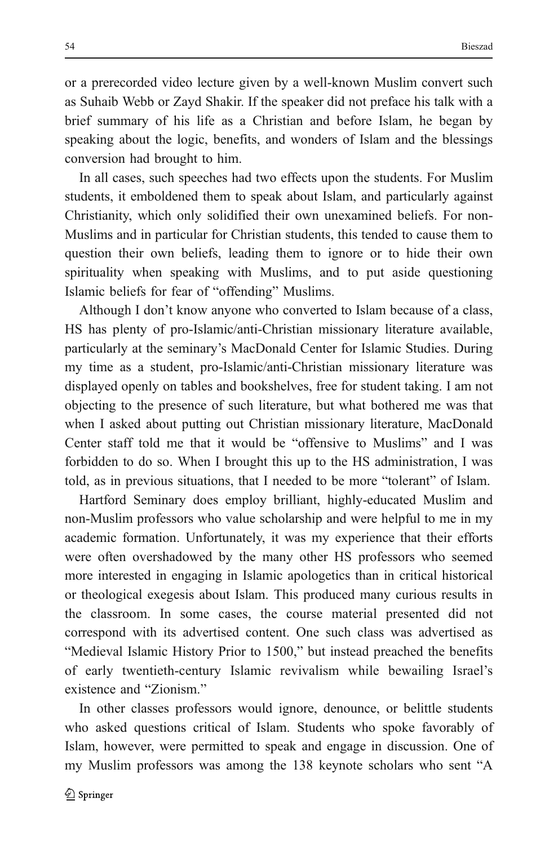or a prerecorded video lecture given by a well-known Muslim convert such as Suhaib Webb or Zayd Shakir. If the speaker did not preface his talk with a brief summary of his life as a Christian and before Islam, he began by speaking about the logic, benefits, and wonders of Islam and the blessings conversion had brought to him.

In all cases, such speeches had two effects upon the students. For Muslim students, it emboldened them to speak about Islam, and particularly against Christianity, which only solidified their own unexamined beliefs. For non-Muslims and in particular for Christian students, this tended to cause them to question their own beliefs, leading them to ignore or to hide their own spirituality when speaking with Muslims, and to put aside questioning Islamic beliefs for fear of "offending" Muslims.

Although I don't know anyone who converted to Islam because of a class, HS has plenty of pro-Islamic/anti-Christian missionary literature available, particularly at the seminary's MacDonald Center for Islamic Studies. During my time as a student, pro-Islamic/anti-Christian missionary literature was displayed openly on tables and bookshelves, free for student taking. I am not objecting to the presence of such literature, but what bothered me was that when I asked about putting out Christian missionary literature, MacDonald Center staff told me that it would be "offensive to Muslims" and I was forbidden to do so. When I brought this up to the HS administration, I was told, as in previous situations, that I needed to be more "tolerant" of Islam.

Hartford Seminary does employ brilliant, highly-educated Muslim and non-Muslim professors who value scholarship and were helpful to me in my academic formation. Unfortunately, it was my experience that their efforts were often overshadowed by the many other HS professors who seemed more interested in engaging in Islamic apologetics than in critical historical or theological exegesis about Islam. This produced many curious results in the classroom. In some cases, the course material presented did not correspond with its advertised content. One such class was advertised as "Medieval Islamic History Prior to 1500," but instead preached the benefits of early twentieth-century Islamic revivalism while bewailing Israel's existence and "Zionism."

In other classes professors would ignore, denounce, or belittle students who asked questions critical of Islam. Students who spoke favorably of Islam, however, were permitted to speak and engage in discussion. One of my Muslim professors was among the 138 keynote scholars who sent "A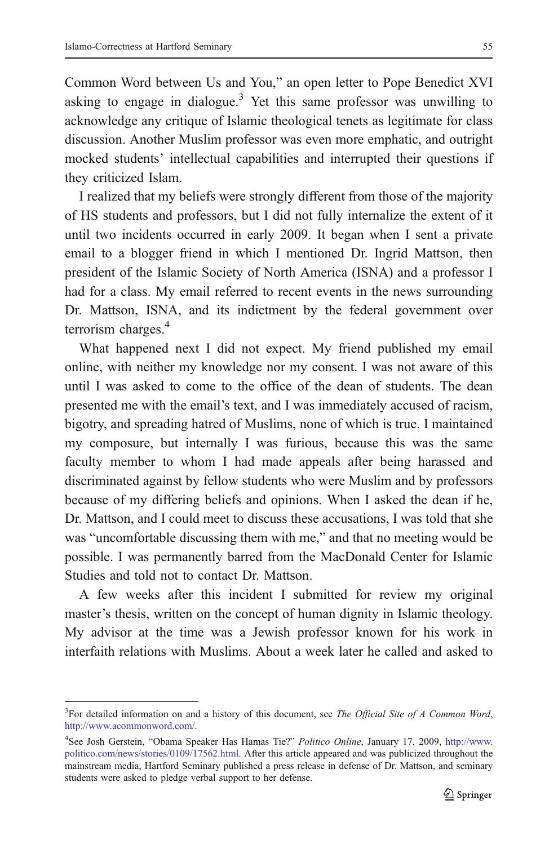Common Word between Us and You," an open letter to Pope Benedict XVI asking to engage in dialogue.<sup>3</sup> Yet this same professor was unwilling to acknowledge any critique of Islamic theological tenets as legitimate for class discussion. Another Muslim professor was even more emphatic, and outright mocked students' intellectual capabilities and interrupted their questions if they criticized Islam.

I realized that my beliefs were strongly different from those of the majority of HS students and professors, but I did not fully internalize the extent of it until two incidents occurred in early 2009. It began when I sent a private email to a blogger friend in which I mentioned Dr. Ingrid Mattson, then president of the Islamic Society of North America (ISNA) and a professor I had for a class. My email referred to recent events in the news surrounding Dr. Mattson, ISNA, and its indictment by the federal government over terrorism charges.<sup>4</sup>

What happened next I did not expect. My friend published my email online, with neither my knowledge nor my consent. I was not aware of this until I was asked to come to the office of the dean of students. The dean presented me with the email's text, and I was immediately accused of racism, bigotry, and spreading hatred of Muslims, none of which is true. I maintained my composure, but internally I was furious, because this was the same faculty member to whom I had made appeals after being harassed and discriminated against by fellow students who were Muslim and by professors because of my differing beliefs and opinions. When I asked the dean if he, Dr. Mattson, and I could meet to discuss these accusations, I was told that she was "uncomfortable discussing them with me," and that no meeting would be possible. I was permanently barred from the MacDonald Center for Islamic Studies and told not to contact Dr. Mattson.

A few weeks after this incident I submitted for review my original master's thesis, written on the concept of human dignity in Islamic theology. My advisor at the time was a Jewish professor known for his work in interfaith relations with Muslims. About a week later he called and asked to

<sup>&</sup>lt;sup>3</sup>For detailed information on and a history of this document, see The Official Site of A Common Word, <http://www.acommonword.com/>.

<sup>&</sup>lt;sup>4</sup>See Josh Gerstein, "Obama Speaker Has Hamas Tie?" Politico Online, January 17, 2009, [http://www.](http://www.politico.com/news/stories/0109/17562.html) [politico.com/news/stories/0109/17562.html](http://www.politico.com/news/stories/0109/17562.html). After this article appeared and was publicized throughout the mainstream media, Hartford Seminary published a press release in defense of Dr. Mattson, and seminary students were asked to pledge verbal support to her defense.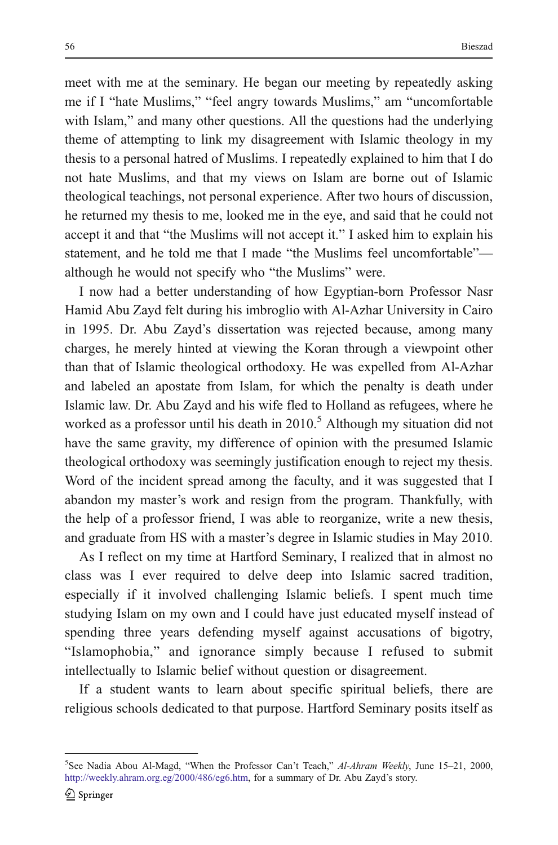meet with me at the seminary. He began our meeting by repeatedly asking me if I "hate Muslims," "feel angry towards Muslims," am "uncomfortable with Islam," and many other questions. All the questions had the underlying theme of attempting to link my disagreement with Islamic theology in my thesis to a personal hatred of Muslims. I repeatedly explained to him that I do not hate Muslims, and that my views on Islam are borne out of Islamic theological teachings, not personal experience. After two hours of discussion, he returned my thesis to me, looked me in the eye, and said that he could not accept it and that "the Muslims will not accept it." I asked him to explain his statement, and he told me that I made "the Muslims feel uncomfortable" although he would not specify who "the Muslims" were.

I now had a better understanding of how Egyptian-born Professor Nasr Hamid Abu Zayd felt during his imbroglio with Al-Azhar University in Cairo in 1995. Dr. Abu Zayd's dissertation was rejected because, among many charges, he merely hinted at viewing the Koran through a viewpoint other than that of Islamic theological orthodoxy. He was expelled from Al-Azhar and labeled an apostate from Islam, for which the penalty is death under Islamic law. Dr. Abu Zayd and his wife fled to Holland as refugees, where he worked as a professor until his death in  $2010<sup>5</sup>$  Although my situation did not have the same gravity, my difference of opinion with the presumed Islamic theological orthodoxy was seemingly justification enough to reject my thesis. Word of the incident spread among the faculty, and it was suggested that I abandon my master's work and resign from the program. Thankfully, with the help of a professor friend, I was able to reorganize, write a new thesis, and graduate from HS with a master's degree in Islamic studies in May 2010.

As I reflect on my time at Hartford Seminary, I realized that in almost no class was I ever required to delve deep into Islamic sacred tradition, especially if it involved challenging Islamic beliefs. I spent much time studying Islam on my own and I could have just educated myself instead of spending three years defending myself against accusations of bigotry, "Islamophobia," and ignorance simply because I refused to submit intellectually to Islamic belief without question or disagreement.

If a student wants to learn about specific spiritual beliefs, there are religious schools dedicated to that purpose. Hartford Seminary posits itself as

<sup>&</sup>lt;sup>5</sup>See Nadia Abou Al-Magd, "When the Professor Can't Teach," Al-Ahram Weekly, June 15-21, 2000, <http://weekly.ahram.org.eg/2000/486/eg6.htm>, for a summary of Dr. Abu Zayd's story.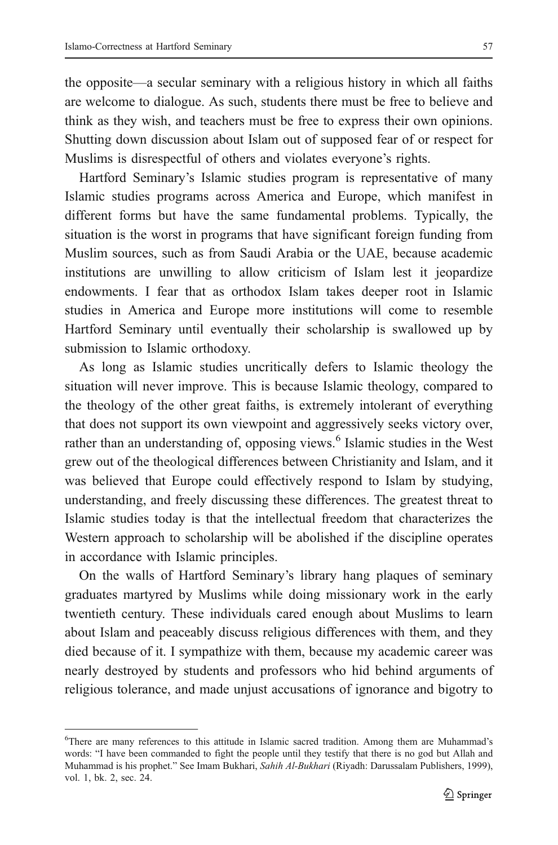the opposite—a secular seminary with a religious history in which all faiths are welcome to dialogue. As such, students there must be free to believe and think as they wish, and teachers must be free to express their own opinions. Shutting down discussion about Islam out of supposed fear of or respect for Muslims is disrespectful of others and violates everyone's rights.

Hartford Seminary's Islamic studies program is representative of many Islamic studies programs across America and Europe, which manifest in different forms but have the same fundamental problems. Typically, the situation is the worst in programs that have significant foreign funding from Muslim sources, such as from Saudi Arabia or the UAE, because academic institutions are unwilling to allow criticism of Islam lest it jeopardize endowments. I fear that as orthodox Islam takes deeper root in Islamic studies in America and Europe more institutions will come to resemble Hartford Seminary until eventually their scholarship is swallowed up by submission to Islamic orthodoxy.

As long as Islamic studies uncritically defers to Islamic theology the situation will never improve. This is because Islamic theology, compared to the theology of the other great faiths, is extremely intolerant of everything that does not support its own viewpoint and aggressively seeks victory over, rather than an understanding of, opposing views.<sup>6</sup> Islamic studies in the West grew out of the theological differences between Christianity and Islam, and it was believed that Europe could effectively respond to Islam by studying, understanding, and freely discussing these differences. The greatest threat to Islamic studies today is that the intellectual freedom that characterizes the Western approach to scholarship will be abolished if the discipline operates in accordance with Islamic principles.

On the walls of Hartford Seminary's library hang plaques of seminary graduates martyred by Muslims while doing missionary work in the early twentieth century. These individuals cared enough about Muslims to learn about Islam and peaceably discuss religious differences with them, and they died because of it. I sympathize with them, because my academic career was nearly destroyed by students and professors who hid behind arguments of religious tolerance, and made unjust accusations of ignorance and bigotry to

<sup>&</sup>lt;sup>6</sup>There are many references to this attitude in Islamic sacred tradition. Among them are Muhammad's words: "I have been commanded to fight the people until they testify that there is no god but Allah and Muhammad is his prophet." See Imam Bukhari, Sahih Al-Bukhari (Riyadh: Darussalam Publishers, 1999), vol. 1, bk. 2, sec. 24.